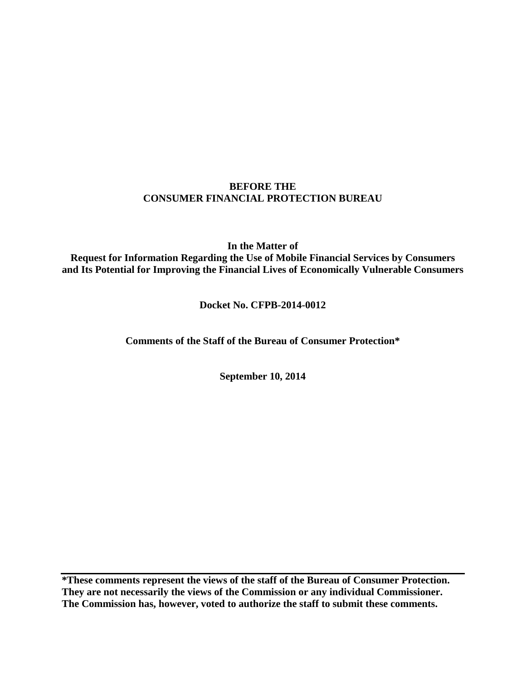## **BEFORE THE CONSUMER FINANCIAL PROTECTION BUREAU**

**In the Matter of Request for Information Regarding the Use of Mobile Financial Services by Consumers and Its Potential for Improving the Financial Lives of Economically Vulnerable Consumers** 

# **Docket No. CFPB-2014-0012**

**Comments of the Staff of the Bureau of Consumer Protection\***

**September 10, 2014** 

**\*These comments represent the views of the staff of the Bureau of Consumer Protection. They are not necessarily the views of the Commission or any individual Commissioner. The Commission has, however, voted to authorize the staff to submit these comments.**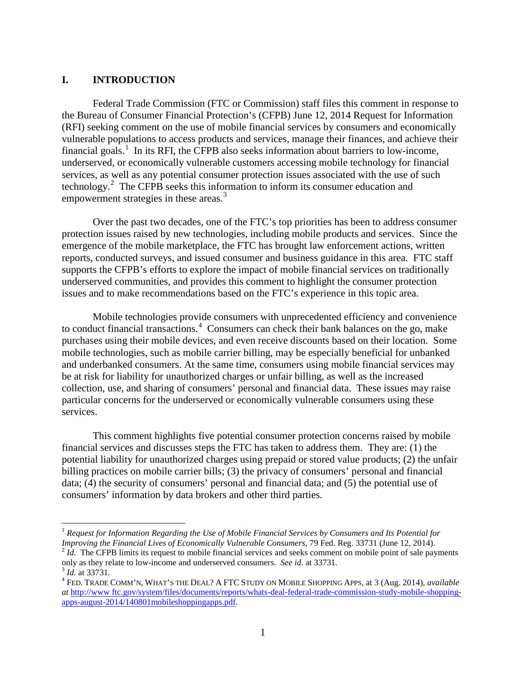#### **I. INTRODUCTION**

Federal Trade Commission (FTC or Commission) staff files this comment in response to the Bureau of Consumer Financial Protection's (CFPB) June 12, 2014 Request for Information (RFI) seeking comment on the use of mobile financial services by consumers and economically vulnerable populations to access products and services, manage their finances, and achieve their financial goals.<sup>1</sup> In its RFI, the CFPB also seeks information about barriers to low-income, underserved, or economically vulnerable customers accessing mobile technology for financial services, as well as any potential consumer protection issues associated with the use of such technology.<sup>2</sup> The CFPB seeks this information to inform its consumer education and empowerment strategies in these areas.<sup>3</sup>

 Over the past two decades, one of the FTC's top priorities has been to address consumer protection issues raised by new technologies, including mobile products and services. Since the emergence of the mobile marketplace, the FTC has brought law enforcement actions, written reports, conducted surveys, and issued consumer and business guidance in this area. FTC staff supports the CFPB's efforts to explore the impact of mobile financial services on traditionally underserved communities, and provides this comment to highlight the consumer protection issues and to make recommendations based on the FTC's experience in this topic area.

Mobile technologies provide consumers with unprecedented efficiency and convenience to conduct financial transactions. 4 Consumers can check their bank balances on the go, make purchases using their mobile devices, and even receive discounts based on their location. Some mobile technologies, such as mobile carrier billing, may be especially beneficial for unbanked and underbanked consumers. At the same time, consumers using mobile financial services may be at risk for liability for unauthorized charges or unfair billing, as well as the increased collection, use, and sharing of consumers' personal and financial data. These issues may raise particular concerns for the underserved or economically vulnerable consumers using these services.

This comment highlights five potential consumer protection concerns raised by mobile financial services and discusses steps the FTC has taken to address them. They are: (1) the potential liability for unauthorized charges using prepaid or stored value products; (2) the unfair billing practices on mobile carrier bills; (3) the privacy of consumers' personal and financial data; (4) the security of consumers' personal and financial data; and (5) the potential use of consumers' information by data brokers and other third parties.

 $\overline{a}$ <sup>1</sup> *Request for Information Regarding the Use of Mobile Financial Services by Consumers and Its Potential for Improving the Financial Lives of Economically Vulnerable Consumers*, 79 Fed. Reg. 33731 (June 12, 2014).<br><sup>2</sup> *Id.* The CFPB limits its request to mobile financial services and seeks comment on mobile point of sale paymen

only as they relate to low-income and underserved consumers. *See id.* at 33731*.* <sup>3</sup> *Id.* at 33731*.* <sup>4</sup>

FED. TRADE COMM'N, WHAT'S THE DEAL? A FTC STUDY ON MOBILE SHOPPING APPS*,* at 3 (Aug. 2014), *available at* http://www ftc.gov/system/files/documents/reports/whats-deal-federal-trade-commission-study-mobile-shoppingapps-august-2014/140801mobileshoppingapps.pdf.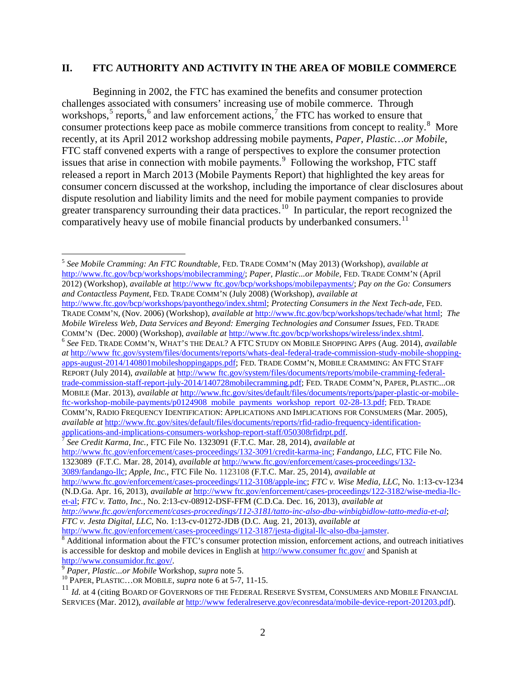#### **II. FTC AUTHORITY AND ACTIVITY IN THE AREA OF MOBILE COMMERCE**

Beginning in 2002, the FTC has examined the benefits and consumer protection challenges associated with consumers' increasing use of mobile commerce. Through workshops,<sup>5</sup> reports,<sup>6</sup> and law enforcement actions,<sup>7</sup> the FTC has worked to ensure that consumer protections keep pace as mobile commerce transitions from concept to reality.<sup>8</sup> More recently, at its April 2012 workshop addressing mobile payments, *Paper, Plastic…or Mobile*, FTC staff convened experts with a range of perspectives to explore the consumer protection issues that arise in connection with mobile payments.<sup>9</sup> Following the workshop, FTC staff released a report in March 2013 (Mobile Payments Report) that highlighted the key areas for consumer concern discussed at the workshop, including the importance of clear disclosures about dispute resolution and liability limits and the need for mobile payment companies to provide greater transparency surrounding their data practices.<sup>10</sup> In particular, the report recognized the comparatively heavy use of mobile financial products by underbanked consumers.<sup>11</sup>

<sup>5</sup> *See Mobile Cramming: An FTC Roundtable,* FED. TRADE COMM'N (May 2013) (Workshop), *available at* http://www.ftc.gov/bcp/workshops/mobilecramming/; *Paper, Plastic...or Mobile,* FED. TRADE COMM'N (April 2012) (Workshop), *available at* http://www ftc.gov/bcp/workshops/mobilepayments/; *Pay on the Go: Consumers and Contactless Payment*, FED. TRADE COMM'N (July 2008) (Workshop), *available at* http://www.ftc.gov/bcp/workshops/payonthego/index.shtml; *Protecting Consumers in the Next Tech-ade,* FED. TRADE COMM'N, (Nov. 2006) (Workshop), *available at* http://www.ftc.gov/bcp/workshops/techade/what html; *The Mobile Wireless Web, Data Services and Beyond: Emerging Technologies and Consumer Issues,* FED. TRADE COMM'N (Dec. 2000) (Workshop), *available at* http://www.ftc.gov/bcp/workshops/wireless/index.shtml. 6 *See* FED. TRADE COMM'N, WHAT'S THE DEAL? <sup>A</sup> FTC STUDY ON MOBILE SHOPPING APPS (Aug. 2014), *available at* http://www ftc.gov/system/files/documents/reports/whats-deal-federal-trade-commission-study-mobile-shoppingapps-august-2014/140801mobileshoppingapps.pdf; FED. TRADE COMM'N, MOBILE CRAMMING: AN FTC STAFF REPORT (July 2014), *available* at http://www ftc.gov/system/files/documents/reports/mobile-cramming-federaltrade-commission-staff-report-july-2014/140728mobilecramming.pdf; FED. TRADE COMM'N, PAPER, PLASTIC...OR MOBILE (Mar. 2013), *available at* http://www.ftc.gov/sites/default/files/documents/reports/paper-plastic-or-mobileftc-workshop-mobile-payments/p0124908 mobile payments workshop report 02-28-13.pdf; FED. TRADE COMM'N, RADIO FREQUENCY IDENTIFICATION: APPLICATIONS AND IMPLICATIONS FOR CONSUMERS (Mar. 2005), *available at* http://www.ftc.gov/sites/default/files/documents/reports/rfid-radio-frequency-identificationapplications-and-implications-consumers-workshop-report-staff/050308rfidrpt.pdf. 7 *See Credit Karma, Inc.,* FTC File No. 1323091 (F.T.C. Mar. 28, 2014), *available at* 

 $\overline{a}$ 

http://www.ftc.gov/enforcement/cases-proceedings/132-3091/credit-karma-inc; *Fandango, LLC,* FTC File No. 1323089(F.T.C. Mar. 28, 2014), *available at* http://www.ftc.gov/enforcement/cases-proceedings/132- 3089/fandango-llc; *Apple, Inc.*, FTC File No. 1123108 (F.T.C. Mar. 25, 2014), *available at*  http://www.ftc.gov/enforcement/cases-proceedings/112-3108/apple-inc; *FTC v. Wise Media, LLC*, No. 1:13-cv-1234 (N.D.Ga. Apr. 16, 2013), *available at* http://www ftc.gov/enforcement/cases-proceedings/122-3182/wise-media-llcet-al; *FTC v. Tatto, Inc.*, No. 2:13-cv-08912-DSF-FFM (C.D.Ca. Dec. 16, 2013), *available at http://www.ftc.gov/enforcement/cases-proceedings/112-3181/tatto-inc-also-dba-winbigbidlow-tatto-media-et-al*; *FTC v. Jesta Digital, LLC*, No. 1:13-cv-01272-JDB (D.C. Aug. 21, 2013), *available at* http://www.ftc.gov/enforcement/cases-proceedings/112-3187/jesta-digital-llc-also-dba-jamster.<br><sup>8</sup> Additional information about the FTC's consumer protection mission, enforcement actions, and outreach initiatives

is accessible for desktop and mobile devices in English at http://www.consumer ftc.gov/ and Spanish at http://www.consumidor.ftc.gov/. 9 *Paper, Plastic...or Mobile* Workshop, *supra* note 5. 10 PAPER, PLASTIC…OR MOBILE, *supra* note 6 at 5-7, 11-15.

<sup>&</sup>lt;sup>11</sup> *Id.* at 4 (citing BOARD OF GOVERNORS OF THE FEDERAL RESERVE SYSTEM, CONSUMERS AND MOBILE FINANCIAL SERVICES (Mar. 2012), *available at* http://www federalreserve.gov/econresdata/mobile-device-report-201203.pdf).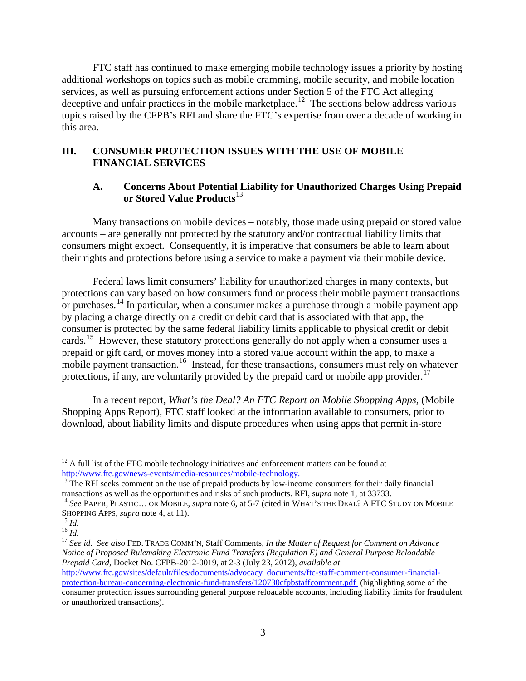FTC staff has continued to make emerging mobile technology issues a priority by hosting additional workshops on topics such as mobile cramming, mobile security, and mobile location services, as well as pursuing enforcement actions under Section 5 of the FTC Act alleging deceptive and unfair practices in the mobile marketplace.<sup>12</sup> The sections below address various topics raised by the CFPB's RFI and share the FTC's expertise from over a decade of working in this area.

## **III. CONSUMER PROTECTION ISSUES WITH THE USE OF MOBILE FINANCIAL SERVICES**

### **A. Concerns About Potential Liability for Unauthorized Charges Using Prepaid or Stored Value Products**<sup>13</sup>

Many transactions on mobile devices – notably, those made using prepaid or stored value accounts – are generally not protected by the statutory and/or contractual liability limits that consumers might expect. Consequently, it is imperative that consumers be able to learn about their rights and protections before using a service to make a payment via their mobile device.

Federal laws limit consumers' liability for unauthorized charges in many contexts, but protections can vary based on how consumers fund or process their mobile payment transactions or purchases.<sup>14</sup> In particular, when a consumer makes a purchase through a mobile payment app by placing a charge directly on a credit or debit card that is associated with that app, the consumer is protected by the same federal liability limits applicable to physical credit or debit cards.<sup>15</sup> However, these statutory protections generally do not apply when a consumer uses a prepaid or gift card, or moves money into a stored value account within the app, to make a mobile payment transaction.<sup>16</sup> Instead, for these transactions, consumers must rely on whatever protections, if any, are voluntarily provided by the prepaid card or mobile app provider.<sup>17</sup>

In a recent report, *What's the Deal? An FTC Report on Mobile Shopping Apps,* (Mobile Shopping Apps Report), FTC staff looked at the information available to consumers, prior to download, about liability limits and dispute procedures when using apps that permit in-store

<sup>15</sup> *Id.* <sup>16</sup> *Id.* 26 *ig.* 3. 16 *If Id.* 16 *Id.* 16 *Id.* 16 *Id.* 16 *Id.* 16 *Id.* 16 *Id.* See id. See also FED. TRADE COMM'N, Staff Comments, *In the Matter of Request for Comment on Advance Notice of Proposed Rulemaking Electronic Fund Transfers (Regulation E) and General Purpose Reloadable Prepaid Card*, Docket No. CFPB-2012-0019, at 2-3 (July 23, 2012), *available at* http://www.ftc.gov/sites/default/files/documents/advocacy documents/ftc-staff-comment-consumer-financialprotection-bureau-concerning-electronic-fund-transfers/120730cfpbstaffcomment.pdf (highlighting some of the consumer protection issues surrounding general purpose reloadable accounts, including liability limits for fraudulent

 $\overline{a}$  $12$  A full list of the FTC mobile technology initiatives and enforcement matters can be found at

http://www.ftc.gov/news-events/media-resources/mobile-technology.<br><sup>13</sup> The RFI seeks comment on the use of prepaid products by low-income consumers for their daily financial transactions as well as the opportunities and ri

<sup>&</sup>lt;sup>14</sup> See PAPER, PLASTIC… OR MOBILE, *supra* note 6, at 5-7 (cited in WHAT's THE DEAL? A FTC STUDY ON MOBILE SHOPPING APPS, *supra* note 4, at 11).

or unauthorized transactions).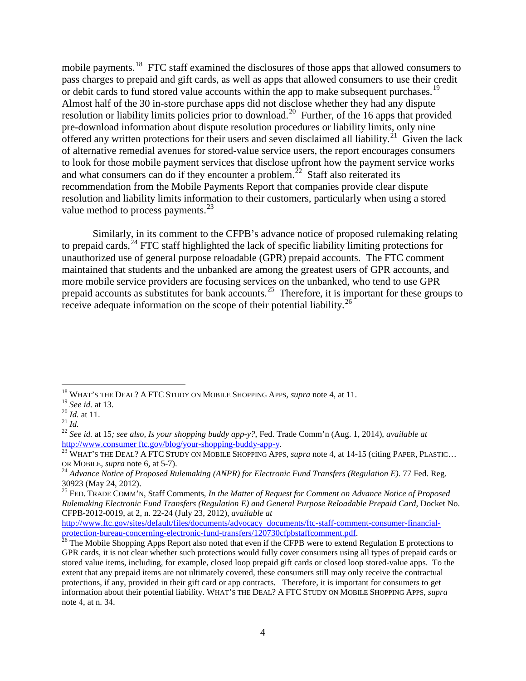mobile payments.<sup>18</sup> FTC staff examined the disclosures of those apps that allowed consumers to pass charges to prepaid and gift cards, as well as apps that allowed consumers to use their credit or debit cards to fund stored value accounts within the app to make subsequent purchases.<sup>19</sup> Almost half of the 30 in-store purchase apps did not disclose whether they had any dispute resolution or liability limits policies prior to download.<sup>20</sup> Further, of the 16 apps that provided pre-download information about dispute resolution procedures or liability limits, only nine offered any written protections for their users and seven disclaimed all liability.<sup>21</sup> Given the lack of alternative remedial avenues for stored-value service users, the report encourages consumers to look for those mobile payment services that disclose upfront how the payment service works and what consumers can do if they encounter a problem.<sup>22</sup> Staff also reiterated its recommendation from the Mobile Payments Report that companies provide clear dispute resolution and liability limits information to their customers, particularly when using a stored value method to process payments.<sup>23</sup>

Similarly, in its comment to the CFPB's advance notice of proposed rulemaking relating to prepaid cards,  $24$  FTC staff highlighted the lack of specific liability limiting protections for unauthorized use of general purpose reloadable (GPR) prepaid accounts. The FTC comment maintained that students and the unbanked are among the greatest users of GPR accounts, and more mobile service providers are focusing services on the unbanked, who tend to use GPR prepaid accounts as substitutes for bank accounts.25 Therefore, it is important for these groups to receive adequate information on the scope of their potential liability.<sup>26</sup>

 $\overline{a}$ 18 WHAT'S THE DEAL? A FTC STUDY ON MOBILE SHOPPING APPS*, supra* note 4, at 11.

<sup>&</sup>lt;sup>19</sup> *See id.* at 13.<br><sup>20</sup> *Id.* at 11.<br><sup>21</sup> *Id.* 22 *Id.* at 15*; see also, Is your shopping buddy app-y?*, Fed. Trade Comm'n (Aug. 1, 2014), *available at*<br><sup>22</sup> *See id.* at 15*; see also, Is your shopping buddy app-y?* 

<sup>&</sup>lt;sup>23</sup> WHAT'S THE DEAL? A FTC STUDY ON MOBILE SHOPPING APPS, *supra* note 4, at 14-15 (citing PAPER, PLASTIC... OR MOBILE, *supra* note 6, at 5-7).

<sup>&</sup>lt;sup>24</sup> Advance Notice of Proposed Rulemaking (ANPR) for Electronic Fund Transfers (Regulation E). 77 Fed. Reg. 30923 (May 24, 2012). 25 FED. TRADE COMM'N, Staff Comments, *In the Matter of Request for Comment on Advance Notice of Proposed* 

*Rulemaking Electronic Fund Transfers (Regulation E) and General Purpose Reloadable Prepaid Card*, Docket No. CFPB-2012-0019, at 2, n. 22-24 (July 23, 2012), *available at*

http://www.ftc.gov/sites/default/files/documents/advocacy documents/ftc-staff-comment-consumer-financialprotection-bureau-concerning-electronic-fund-transfers/120730cfpbstaffcomment.pdf.<br><sup>26</sup> The Mobile Shopping Apps Report also noted that even if the CFPB were to extend Regulation E protections to

GPR cards, it is not clear whether such protections would fully cover consumers using all types of prepaid cards or stored value items, including, for example, closed loop prepaid gift cards or closed loop stored-value apps. To the extent that any prepaid items are not ultimately covered, these consumers still may only receive the contractual protections, if any, provided in their gift card or app contracts. Therefore, it is important for consumers to get information about their potential liability. WHAT'S THE DEAL? A FTC STUDY ON MOBILE SHOPPING APPS*, supra*  note 4, at n. 34.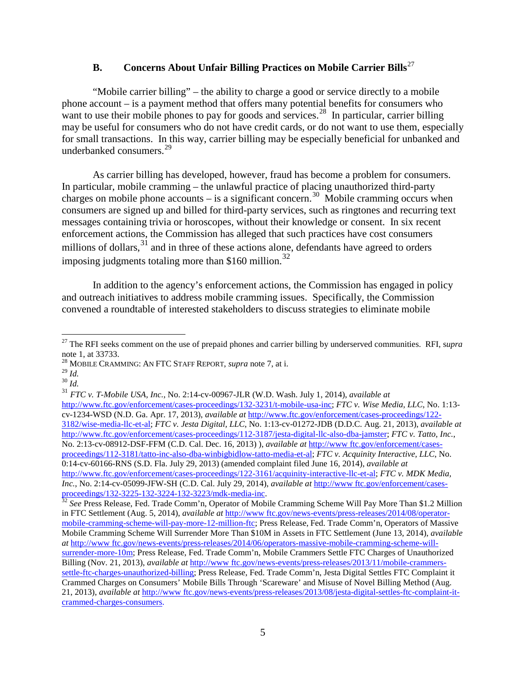# **B. Concerns About Unfair Billing Practices on Mobile Carrier Bills** 27

"Mobile carrier billing" – the ability to charge a good or service directly to a mobile phone account – is a payment method that offers many potential benefits for consumers who want to use their mobile phones to pay for goods and services.<sup>28</sup> In particular, carrier billing may be useful for consumers who do not have credit cards, or do not want to use them, especially for small transactions. In this way, carrier billing may be especially beneficial for unbanked and underbanked consumers.<sup>29</sup>

As carrier billing has developed, however, fraud has become a problem for consumers. In particular, mobile cramming – the unlawful practice of placing unauthorized third-party charges on mobile phone accounts – is a significant concern.<sup>30</sup> Mobile cramming occurs when consumers are signed up and billed for third-party services, such as ringtones and recurring text messages containing trivia or horoscopes, without their knowledge or consent. In six recent enforcement actions, the Commission has alleged that such practices have cost consumers millions of dollars,  $31$  and in three of these actions alone, defendants have agreed to orders imposing judgments totaling more than \$160 million.<sup>32</sup>

In addition to the agency's enforcement actions, the Commission has engaged in policy and outreach initiatives to address mobile cramming issues. Specifically, the Commission convened a roundtable of interested stakeholders to discuss strategies to eliminate mobile

 $\overline{a}$ 

<sup>31</sup> *FTC v. T-Mobile USA, Inc.*, No. 2:14-cv-00967-JLR (W.D. Wash. July 1, 2014), *available at* 

http://www.ftc.gov/enforcement/cases-proceedings/132-3231/t-mobile-usa-inc; *FTC v. Wise Media, LLC*, No. 1:13 cv-1234-WSD (N.D. Ga. Apr. 17, 2013), *available at* http://www.ftc.gov/enforcement/cases-proceedings/122- 3182/wise-media-llc-et-al; *FTC v. Jesta Digital, LLC*, No. 1:13-cv-01272-JDB (D.D.C. Aug. 21, 2013), *available at* http://www.ftc.gov/enforcement/cases-proceedings/112-3187/jesta-digital-llc-also-dba-jamster; *FTC v. Tatto, Inc.*, No. 2:13-cv-08912-DSF-FFM (C.D. Cal. Dec. 16, 2013) ), *available at* http://www ftc.gov/enforcement/casesproceedings/112-3181/tatto-inc-also-dba-winbigbidlow-tatto-media-et-al; *FTC v. Acquinity Interactive, LLC*, No. 0:14-cv-60166-RNS (S.D. Fla. July 29, 2013) (amended complaint filed June 16, 2014), *available at* http://www.ftc.gov/enforcement/cases-proceedings/122-3161/acquinity-interactive-llc-et-al; *FTC v. MDK Media, Inc.*, No. 2:14-cv-05099-JFW-SH (C.D. Cal. July 29, 2014), *available at* http://www ftc.gov/enforcement/casesproceedings/132-3225-132-3224-132-3223/mdk-media-inc. 32 *See* Press Release, Fed. Trade Comm'n, Operator of Mobile Cramming Scheme Will Pay More Than \$1.2 Million

<sup>&</sup>lt;sup>27</sup> The RFI seeks comment on the use of prepaid phones and carrier billing by underserved communities. RFI, supra note 1, at  $33733$ .

<sup>&</sup>lt;sup>28</sup> MOBILE CRAMMING: AN FTC STAFF REPORT, *supra* note 7, at i.<br><sup>29</sup> Id.

<sup>29</sup> *Id.* 30 *Id.*

in FTC Settlement (Aug. 5, 2014), *available at* http://www ftc.gov/news-events/press-releases/2014/08/operatormobile-cramming-scheme-will-pay-more-12-million-ftc; Press Release, Fed. Trade Comm'n, Operators of Massive Mobile Cramming Scheme Will Surrender More Than \$10M in Assets in FTC Settlement (June 13, 2014), *available at* http://www ftc.gov/news-events/press-releases/2014/06/operators-massive-mobile-cramming-scheme-willsurrender-more-10m; Press Release, Fed. Trade Comm'n, Mobile Crammers Settle FTC Charges of Unauthorized Billing (Nov. 21, 2013), *available at* http://www ftc.gov/news-events/press-releases/2013/11/mobile-crammerssettle-ftc-charges-unauthorized-billing; Press Release, Fed. Trade Comm'n, Jesta Digital Settles FTC Complaint it Crammed Charges on Consumers' Mobile Bills Through 'Scareware' and Misuse of Novel Billing Method (Aug. 21, 2013), *available at* http://www ftc.gov/news-events/press-releases/2013/08/jesta-digital-settles-ftc-complaint-itcrammed-charges-consumers.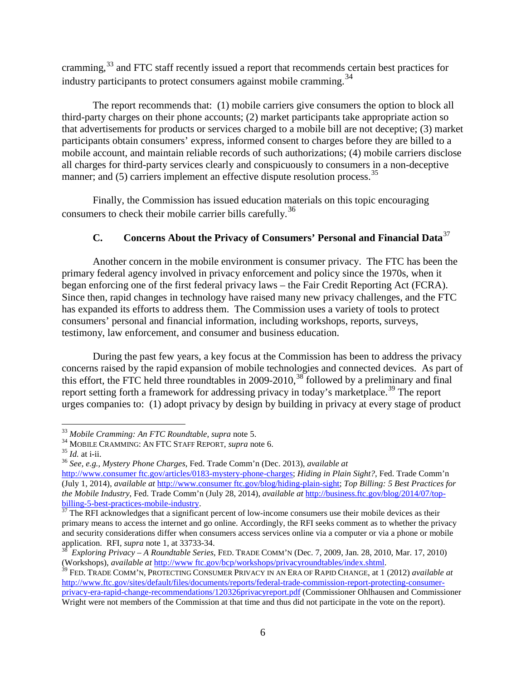cramming,<sup>33</sup> and FTC staff recently issued a report that recommends certain best practices for industry participants to protect consumers against mobile cramming.<sup>34</sup>

The report recommends that: (1) mobile carriers give consumers the option to block all third-party charges on their phone accounts; (2) market participants take appropriate action so that advertisements for products or services charged to a mobile bill are not deceptive; (3) market participants obtain consumers' express, informed consent to charges before they are billed to a mobile account, and maintain reliable records of such authorizations; (4) mobile carriers disclose all charges for third-party services clearly and conspicuously to consumers in a non-deceptive manner; and  $(5)$  carriers implement an effective dispute resolution process.<sup>35</sup>

Finally, the Commission has issued education materials on this topic encouraging consumers to check their mobile carrier bills carefully. 36

## **C. Concerns About the Privacy of Consumers' Personal and Financial Data**<sup>37</sup>

 Another concern in the mobile environment is consumer privacy. The FTC has been the primary federal agency involved in privacy enforcement and policy since the 1970s, when it began enforcing one of the first federal privacy laws – the Fair Credit Reporting Act (FCRA). Since then, rapid changes in technology have raised many new privacy challenges, and the FTC has expanded its efforts to address them. The Commission uses a variety of tools to protect consumers' personal and financial information, including workshops, reports, surveys, testimony, law enforcement, and consumer and business education.

During the past few years, a key focus at the Commission has been to address the privacy concerns raised by the rapid expansion of mobile technologies and connected devices. As part of this effort, the FTC held three roundtables in 2009-2010,<sup>38</sup> followed by a preliminary and final report setting forth a framework for addressing privacy in today's marketplace.<sup>39</sup> The report urges companies to: (1) adopt privacy by design by building in privacy at every stage of product

 $\overline{a}$ 

<sup>&</sup>lt;sup>33</sup> Mobile Cramming: An FTC Roundtable, supra note 5.<br><sup>34</sup> MOBILE CRAMMING: AN FTC STAFF REPORT, supra note 6.<br><sup>35</sup> Id. at i-ii.<br><sup>36</sup> See, e.g., Mystery Phone Charges, Fed. Trade Comm'n (Dec. 2013), available at

http://www.consumer ftc.gov/articles/0183-mystery-phone-charges; *Hiding in Plain Sight?*, Fed. Trade Comm'n (July 1, 2014), *available at* http://www.consumer ftc.gov/blog/hiding-plain-sight; *Top Billing: 5 Best Practices for the Mobile Industry*, Fed. Trade Comm'n (July 28, 2014), *available at* http://business.ftc.gov/blog/2014/07/top-

 $rac{6.001 \text{ m}}{37}$  The RFI acknowledges that a significant percent of low-income consumers use their mobile devices as their primary means to access the internet and go online. Accordingly, the RFI seeks comment as to whether the privacy and security considerations differ when consumers access services online via a computer or via a phone or mobile

application. RFI, *supra* note 1, at 33733-34.<br><sup>38</sup> *Exploring Privacy – A Roundtable Series*, FED. TRADE COMM'N (Dec. 7, 2009, Jan. 28, 2010, Mar. 17, 2010)<br>(Workshops), *available at http://www.ftc.gov/bcp/workshops/priv* 

<sup>&</sup>lt;sup>39</sup> FED. TRADE COMM'N, PROTECTING CONSUMER PRIVACY IN AN ERA OF RAPID CHANGE, at 1 (2012) *available at* http://www.ftc.gov/sites/default/files/documents/reports/federal-trade-commission-report-protecting-consumerprivacy-era-rapid-change-recommendations/120326privacyreport.pdf (Commissioner Ohlhausen and Commissioner Wright were not members of the Commission at that time and thus did not participate in the vote on the report).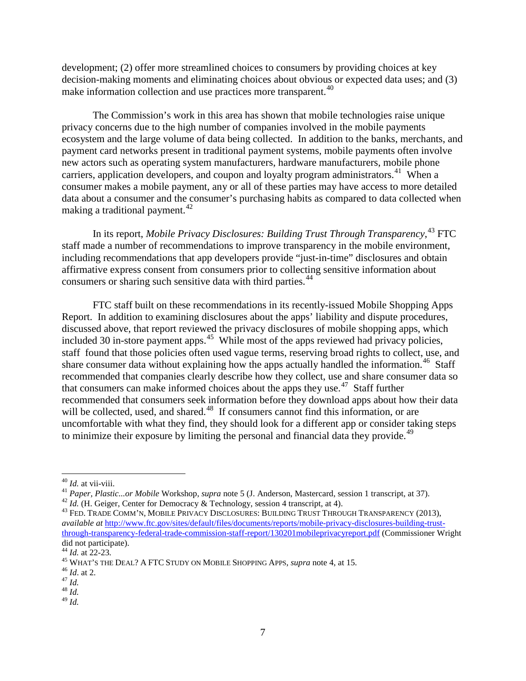development; (2) offer more streamlined choices to consumers by providing choices at key decision-making moments and eliminating choices about obvious or expected data uses; and (3) make information collection and use practices more transparent.<sup>40</sup>

The Commission's work in this area has shown that mobile technologies raise unique privacy concerns due to the high number of companies involved in the mobile payments ecosystem and the large volume of data being collected. In addition to the banks, merchants, and payment card networks present in traditional payment systems, mobile payments often involve new actors such as operating system manufacturers, hardware manufacturers, mobile phone carriers, application developers, and coupon and loyalty program administrators.<sup>41</sup> When a consumer makes a mobile payment, any or all of these parties may have access to more detailed data about a consumer and the consumer's purchasing habits as compared to data collected when making a traditional payment.<sup>42</sup>

In its report, *Mobile Privacy Disclosures: Building Trust Through Transparency*, <sup>43</sup> FTC staff made a number of recommendations to improve transparency in the mobile environment, including recommendations that app developers provide "just-in-time" disclosures and obtain affirmative express consent from consumers prior to collecting sensitive information about consumers or sharing such sensitive data with third parties.<sup>44</sup>

FTC staff built on these recommendations in its recently-issued Mobile Shopping Apps Report. In addition to examining disclosures about the apps' liability and dispute procedures, discussed above, that report reviewed the privacy disclosures of mobile shopping apps, which included 30 in-store payment apps.<sup>45</sup> While most of the apps reviewed had privacy policies, staff found that those policies often used vague terms, reserving broad rights to collect, use, and share consumer data without explaining how the apps actually handled the information.<sup>46</sup> Staff recommended that companies clearly describe how they collect, use and share consumer data so that consumers can make informed choices about the apps they use.<sup>47</sup> Staff further recommended that consumers seek information before they download apps about how their data will be collected, used, and shared.<sup>48</sup> If consumers cannot find this information, or are uncomfortable with what they find, they should look for a different app or consider taking steps to minimize their exposure by limiting the personal and financial data they provide.<sup>49</sup>

 $40$  *Id.* at vii-viii.

<sup>&</sup>lt;sup>41</sup> Paper, Plastic...or Mobile Workshop, *supra* note 5 (J. Anderson, Mastercard, session 1 transcript, at 37).<br><sup>42</sup> Id. (H. Geiger, Center for Democracy & Technology, session 4 transcript, at 4).<br><sup>43</sup> FED. TRADE COMM'N,

*available at* http://www.ftc.gov/sites/default/files/documents/reports/mobile-privacy-disclosures-building-trustthrough-transparency-federal-trade-commission-staff-report/130201mobileprivacyreport.pdf (Commissioner Wright did not participate).<br><sup>44</sup> *Id.* at 22-23.<br><sup>45</sup> WHAT's THE DEAL? A FTC STUDY ON MOBILE SHOPPING APPS, *supra* note 4, at 15.<br><sup>46</sup> *Id.* 48 *Id.* 48 *Id.* 

 $^{49}$  *Id.*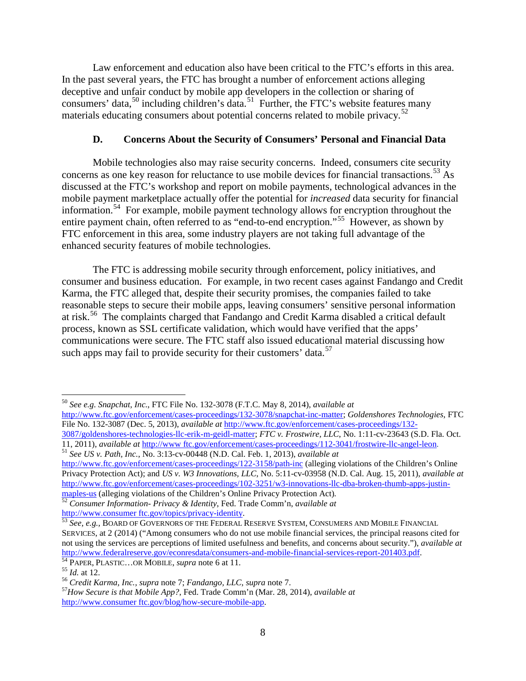Law enforcement and education also have been critical to the FTC's efforts in this area. In the past several years, the FTC has brought a number of enforcement actions alleging deceptive and unfair conduct by mobile app developers in the collection or sharing of consumers' data,  $50$  including children's data.  $51$  Further, the FTC's website features many materials educating consumers about potential concerns related to mobile privacy.<sup>52</sup>

### **D. Concerns About the Security of Consumers' Personal and Financial Data**

 Mobile technologies also may raise security concerns. Indeed, consumers cite security concerns as one key reason for reluctance to use mobile devices for financial transactions.<sup>53</sup> As discussed at the FTC's workshop and report on mobile payments, technological advances in the mobile payment marketplace actually offer the potential for *increased* data security for financial information.<sup>54</sup> For example, mobile payment technology allows for encryption throughout the entire payment chain, often referred to as "end-to-end encryption."55 However, as shown by FTC enforcement in this area, some industry players are not taking full advantage of the enhanced security features of mobile technologies.

The FTC is addressing mobile security through enforcement, policy initiatives, and consumer and business education. For example, in two recent cases against Fandango and Credit Karma, the FTC alleged that, despite their security promises, the companies failed to take reasonable steps to secure their mobile apps, leaving consumers' sensitive personal information at risk.<sup>56</sup> The complaints charged that Fandango and Credit Karma disabled a critical default process, known as SSL certificate validation, which would have verified that the apps' communications were secure. The FTC staff also issued educational material discussing how such apps may fail to provide security for their customers' data.<sup>57</sup>

 $\overline{a}$ <sup>50</sup> *See e.g. Snapchat, Inc.*, FTC File No. 132-3078 (F.T.C. May 8, 2014), *available at*

http://www.ftc.gov/enforcement/cases-proceedings/132-3078/snapchat-inc-matter; *Goldenshores Technologies*, FTC File No. 132-3087 (Dec. 5, 2013), *available at* http://www.ftc.gov/enforcement/cases-proceedings/132-

<sup>3087/</sup>goldenshores-technologies-llc-erik-m-geidl-matter; *FTC v. Frostwire, LLC*, No. 1:11-cv-23643 (S.D. Fla. Oct. 11, 2011), *available at http://www.ftc.gov/enforcement/cases-proceedings/112-3041/frostwire-llc-angel-leon* <sup>51</sup> See US v. Path, Inc., No. 3:13-cv-00448 (N.D. Cal. Feb. 1, 2013), *available at* 

http://www.ftc.gov/enforcement/cases-proceedings/122-3158/path-inc (alleging violations of the Children's Online Privacy Protection Act); and *US v. W3 Innovations, LLC*, No. 5:11-cv-03958 (N.D. Cal. Aug. 15, 2011), *available at*  http://www.ftc.gov/enforcement/cases-proceedings/102-3251/w3-innovations-llc-dba-broken-thumb-apps-justin-

maples-us (alleging violations of the Children's Online Privacy Protection Act)*.* <sup>52</sup> *Consumer Information- Privacy & Identity*, Fed. Trade Comm'n, *available at*

http://www.consumer ftc.gov/topics/privacy-identity. 53 *See, e.g.,* BOARD OF GOVERNORS OF THE FEDERAL RESERVE SYSTEM, CONSUMERS AND MOBILE FINANCIAL SERVICES, at 2 (2014) ("Among consumers who do not use mobile financial services, the principal reasons cited for not using the services are perceptions of limited usefulness and benefits, and concerns about security."), *available at*  http://www.federalreserve.gov/econresdata/consumers-and-mobile-financial-services-report-201403.pdf.<br>
<sup>54</sup> PAPER, PLASTIC...OR MOBILE, *supra* note 6 at 11.<br>
<sup>55</sup> *Id.* at 12.<br>
<sup>56</sup> *Credit Karma, Inc., supra* note 7; *Fan* 

http://www.consumer ftc.gov/blog/how-secure-mobile-app.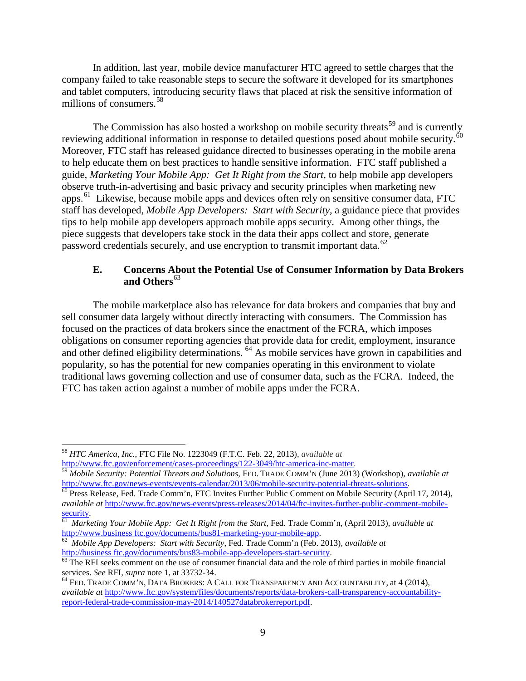In addition, last year, mobile device manufacturer HTC agreed to settle charges that the company failed to take reasonable steps to secure the software it developed for its smartphones and tablet computers, introducing security flaws that placed at risk the sensitive information of millions of consumers.<sup>58</sup>

The Commission has also hosted a workshop on mobile security threats<sup>59</sup> and is currently reviewing additional information in response to detailed questions posed about mobile security.<sup>6</sup> Moreover, FTC staff has released guidance directed to businesses operating in the mobile arena to help educate them on best practices to handle sensitive information. FTC staff published a guide, *Marketing Your Mobile App: Get It Right from the Start,* to help mobile app developers observe truth-in-advertising and basic privacy and security principles when marketing new apps.61 Likewise, because mobile apps and devices often rely on sensitive consumer data, FTC staff has developed, *Mobile App Developers: Start with Security,* a guidance piece that provides tips to help mobile app developers approach mobile apps security. Among other things, the piece suggests that developers take stock in the data their apps collect and store, generate password credentials securely, and use encryption to transmit important data.<sup>62</sup>

#### **E. Concerns About the Potential Use of Consumer Information by Data Brokers**  and Others<sup>63</sup>

The mobile marketplace also has relevance for data brokers and companies that buy and sell consumer data largely without directly interacting with consumers. The Commission has focused on the practices of data brokers since the enactment of the FCRA, which imposes obligations on consumer reporting agencies that provide data for credit, employment, insurance and other defined eligibility determinations. <sup>64</sup> As mobile services have grown in capabilities and popularity, so has the potential for new companies operating in this environment to violate traditional laws governing collection and use of consumer data, such as the FCRA. Indeed, the FTC has taken action against a number of mobile apps under the FCRA.

 $\overline{a}$ 

<sup>58</sup> *HTC America, Inc.*, FTC File No. 1223049 (F.T.C. Feb. 22, 2013), *available at*

<sup>&</sup>lt;sup>59</sup> Mobile Security: Potential Threats and Solutions, FED. TRADE COMM'N (June 2013) (Workshop), *available at* http://www.ftc.gov/news-events/events-calendar/2013/06/mobile-security-potential-threats-solutions.

 $\frac{60}{60}$  Press Release, Fed. Trade Comm'n, FTC Invites Further Public Comment on Mobile Security (April 17, 2014), *available at* http://www.ftc.gov/news-events/press-releases/2014/04/ftc-invites-further-public-comment-mobile-<br><sup>61</sup> Marketing Your Mobile App: Get It Right from the Start Fed Trade Comm'n (April 2013) *available at* 

<sup>&</sup>lt;sup>61</sup> *Marketing Your Mobile App: Get It Right from the Start, Fed. Trade Comm'n, (April 2013), <i>available at* http://www.business ftc.gov/documents/bus81-marketing-your-mobile-app.

<sup>&</sup>lt;sup>62</sup> Mobile App Developers: Start with Security, Fed. Trade Comm'n (Feb. 2013), *available at* http://business ftc.gov/documents/bus83-mobile-app-developers-start-security.

 $\frac{63}{10}$  The RFI seeks comment on the use of consumer financial data and the role of third parties in mobile financial services. See RFI, supra note 1, at 33732-34.

<sup>&</sup>lt;sup>64</sup> FED. TRADE COMM'N, DATA BROKERS: A CALL FOR TRANSPARENCY AND ACCOUNTABILITY, at 4 (2014), *available at* http://www.ftc.gov/system/files/documents/reports/data-brokers-call-transparency-accountabilityreport-federal-trade-commission-may-2014/140527databrokerreport.pdf.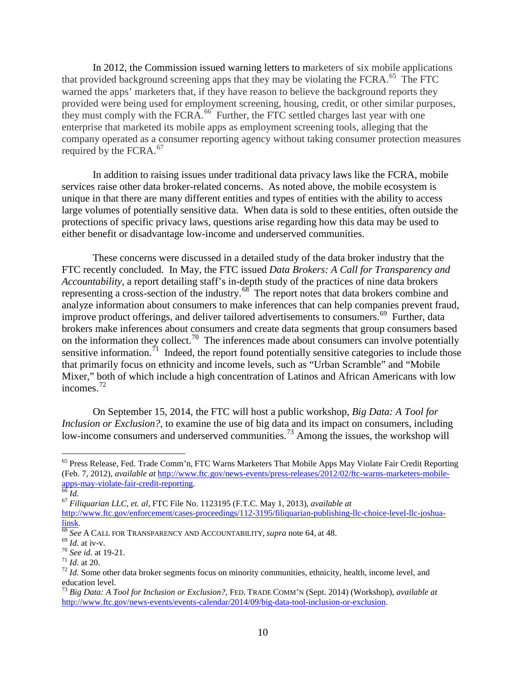In 2012, the Commission issued warning letters to marketers of six mobile applications that provided background screening apps that they may be violating the FCRA.<sup>65</sup> The FTC warned the apps' marketers that, if they have reason to believe the background reports they provided were being used for employment screening, housing, credit, or other similar purposes, they must comply with the FCRA.<sup>66</sup> Further, the FTC settled charges last year with one enterprise that marketed its mobile apps as employment screening tools, alleging that the company operated as a consumer reporting agency without taking consumer protection measures required by the FCRA. 67

In addition to raising issues under traditional data privacy laws like the FCRA, mobile services raise other data broker-related concerns. As noted above, the mobile ecosystem is unique in that there are many different entities and types of entities with the ability to access large volumes of potentially sensitive data. When data is sold to these entities, often outside the protections of specific privacy laws, questions arise regarding how this data may be used to either benefit or disadvantage low-income and underserved communities.

These concerns were discussed in a detailed study of the data broker industry that the FTC recently concluded. In May, the FTC issued *Data Brokers: A Call for Transparency and Accountability*, a report detailing staff's in-depth study of the practices of nine data brokers representing a cross-section of the industry.<sup>68</sup> The report notes that data brokers combine and analyze information about consumers to make inferences that can help companies prevent fraud, improve product offerings, and deliver tailored advertisements to consumers.<sup>69</sup> Further, data brokers make inferences about consumers and create data segments that group consumers based on the information they collect.<sup>70</sup> The inferences made about consumers can involve potentially sensitive information.<sup>71</sup> Indeed, the report found potentially sensitive categories to include those that primarily focus on ethnicity and income levels, such as "Urban Scramble" and "Mobile Mixer," both of which include a high concentration of Latinos and African Americans with low incomes.72

 On September 15, 2014, the FTC will host a public workshop, *Big Data: A Tool for Inclusion or Exclusion?,* to examine the use of big data and its impact on consumers, including low-income consumers and underserved communities.<sup>73</sup> Among the issues, the workshop will

 $\overline{a}$ 

apps-may-violate-fair-credit-reporting. 66 *Id.* <sup>67</sup> *Filiquarian LLC, et. al*, FTC File No. 1123195 (F.T.C. May 1, 2013), *available at*

http://www.ftc.gov/enforcement/cases-proceedings/112-3195/filiquarian-publishing-llc-choice-level-llc-joshua- $\frac{\text{links}}{68}$ <br>  $\frac{\text{68}}{5}$  See A CALL FOR TRANSPARENCY AND ACCOUNTABILITY, *supra* note 64, at 48.<br>
<sup>69</sup> *Id.* at iv-v.<br>
<sup>70</sup> See id. at 19-21.<br>
<sup>71</sup> *Id.* at 20.<br>
<sup>71</sup> *Id.* at 20.<br>
<sup>72</sup> *Id.* Some other data broker se

<sup>&</sup>lt;sup>65</sup> Press Release, Fed. Trade Comm'n, FTC Warns Marketers That Mobile Apps May Violate Fair Credit Reporting (Feb. 7, 2012), *available at* http://www.ftc.gov/news-events/press-releases/2012/02/ftc-warns-marketers-mobile-

education level.

<sup>73</sup> *Big Data: A Tool for Inclusion or Exclusion?*, FED. TRADE COMM'N (Sept. 2014) (Workshop), *available at* http://www.ftc.gov/news-events/events-calendar/2014/09/big-data-tool-inclusion-or-exclusion.